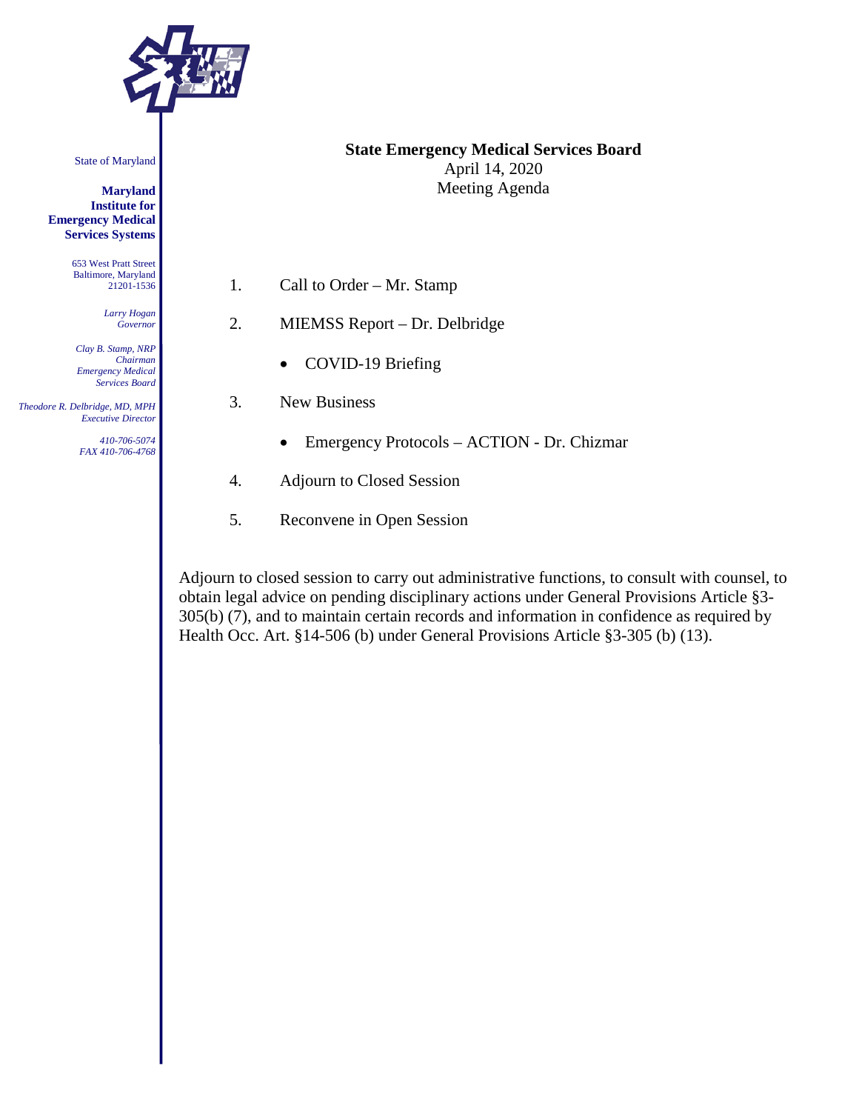

State of Maryland

**Maryland Institute for Emergency Medical Services Systems**

> 653 West Pratt Street Baltimore, Maryland 21201-1536

> > *Larry Hogan Governor*

*Clay B. Stamp, NRP Chairman Emergency Medical Services Board*

 *Theodore R. Delbridge, MD, MPH Executive Director*

> *410-706-5074 FAX 410-706-4768*

#### **State Emergency Medical Services Board** April 14, 2020 Meeting Agenda

- 1. Call to Order Mr. Stamp
- 2. MIEMSS Report Dr. Delbridge
	- COVID-19 Briefing
- 3. New Business
	- Emergency Protocols ACTION Dr. Chizmar
- 4. Adjourn to Closed Session
- 5. Reconvene in Open Session

Adjourn to closed session to carry out administrative functions, to consult with counsel, to obtain legal advice on pending disciplinary actions under General Provisions Article §3- 305(b) (7), and to maintain certain records and information in confidence as required by Health Occ. Art. §14-506 (b) under General Provisions Article §3-305 (b) (13).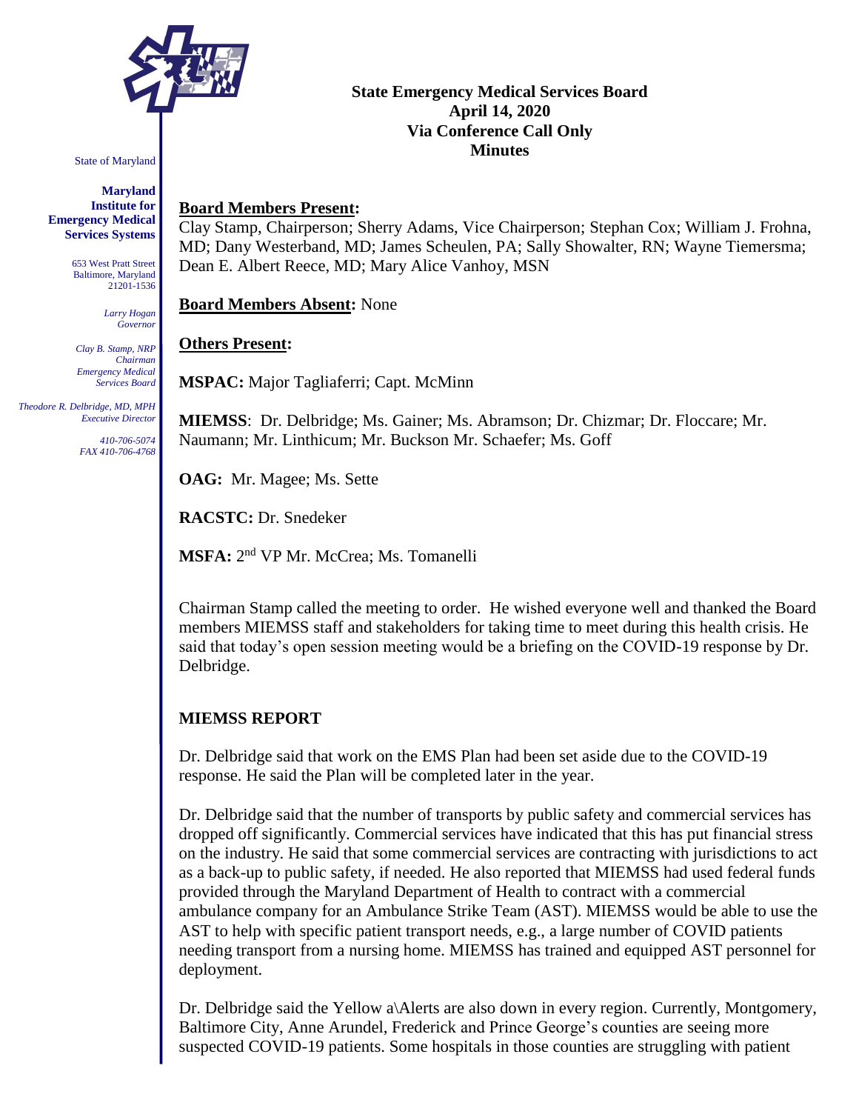

State of Maryland

**Maryland Institute for Emergency Medical Services Systems**

> 653 West Pratt Street Baltimore, Maryland 21201-1536

> > *Larry Hogan Governor*

*Clay B. Stamp, NRP Chairman Emergency Medical Services Board*

 *Theodore R. Delbridge, MD, MPH Executive Director*

> *410-706-5074 FAX 410-706-4768*

## **State Emergency Medical Services Board April 14, 2020 Via Conference Call Only Minutes**

#### **Board Members Present:**

Clay Stamp, Chairperson; Sherry Adams, Vice Chairperson; Stephan Cox; William J. Frohna, MD; Dany Westerband, MD; James Scheulen, PA; Sally Showalter, RN; Wayne Tiemersma; Dean E. Albert Reece, MD; Mary Alice Vanhoy, MSN

**Board Members Absent:** None

#### **Others Present:**

**MSPAC:** Major Tagliaferri; Capt. McMinn

**MIEMSS**: Dr. Delbridge; Ms. Gainer; Ms. Abramson; Dr. Chizmar; Dr. Floccare; Mr. Naumann; Mr. Linthicum; Mr. Buckson Mr. Schaefer; Ms. Goff

**OAG:** Mr. Magee; Ms. Sette

**RACSTC:** Dr. Snedeker

**MSFA:** 2 nd VP Mr. McCrea; Ms. Tomanelli

Chairman Stamp called the meeting to order. He wished everyone well and thanked the Board members MIEMSS staff and stakeholders for taking time to meet during this health crisis. He said that today's open session meeting would be a briefing on the COVID-19 response by Dr. Delbridge.

## **MIEMSS REPORT**

Dr. Delbridge said that work on the EMS Plan had been set aside due to the COVID-19 response. He said the Plan will be completed later in the year.

Dr. Delbridge said that the number of transports by public safety and commercial services has dropped off significantly. Commercial services have indicated that this has put financial stress on the industry. He said that some commercial services are contracting with jurisdictions to act as a back-up to public safety, if needed. He also reported that MIEMSS had used federal funds provided through the Maryland Department of Health to contract with a commercial ambulance company for an Ambulance Strike Team (AST). MIEMSS would be able to use the AST to help with specific patient transport needs, e.g., a large number of COVID patients needing transport from a nursing home. MIEMSS has trained and equipped AST personnel for deployment.

Dr. Delbridge said the Yellow a\Alerts are also down in every region. Currently, Montgomery, Baltimore City, Anne Arundel, Frederick and Prince George's counties are seeing more suspected COVID-19 patients. Some hospitals in those counties are struggling with patient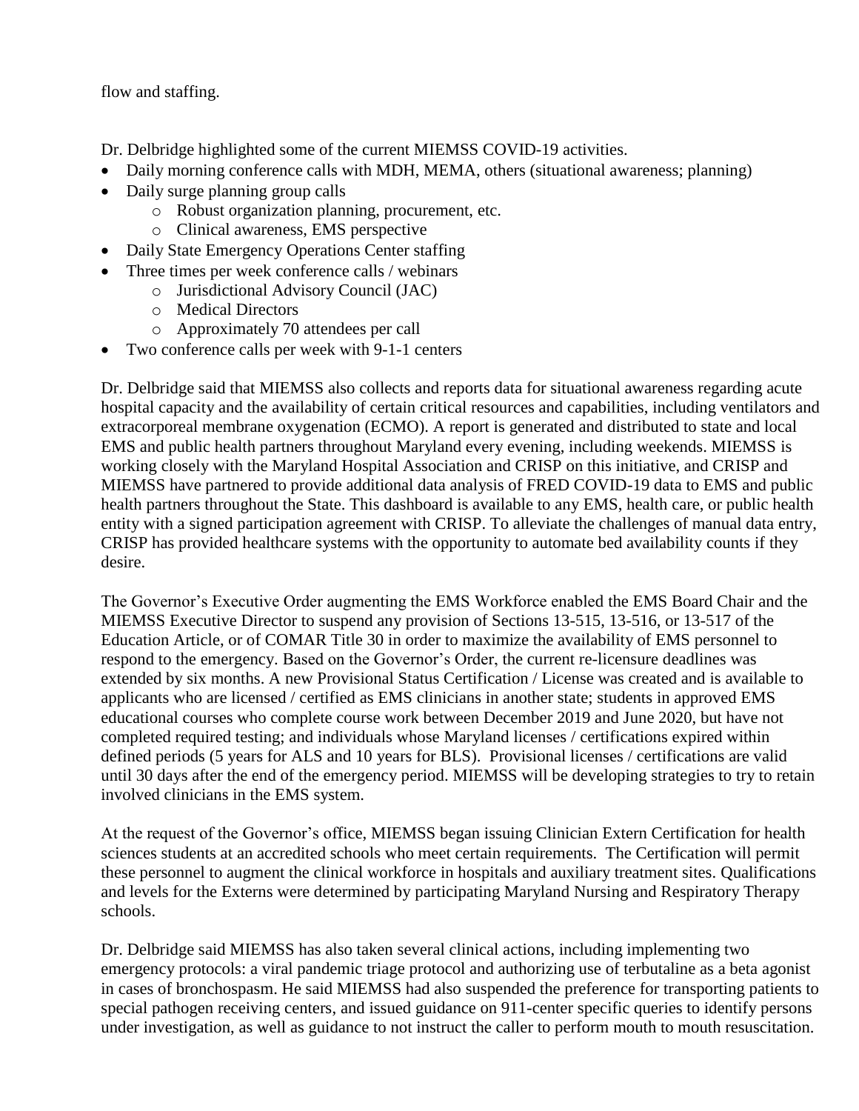flow and staffing.

Dr. Delbridge highlighted some of the current MIEMSS COVID-19 activities.

- Daily morning conference calls with MDH, MEMA, others (situational awareness; planning)
- Daily surge planning group calls
	- o Robust organization planning, procurement, etc.
	- o Clinical awareness, EMS perspective
- Daily State Emergency Operations Center staffing
	- Three times per week conference calls / webinars
		- o Jurisdictional Advisory Council (JAC)
		- o Medical Directors
		- o Approximately 70 attendees per call
- Two conference calls per week with 9-1-1 centers

Dr. Delbridge said that MIEMSS also collects and reports data for situational awareness regarding acute hospital capacity and the availability of certain critical resources and capabilities, including ventilators and extracorporeal membrane oxygenation (ECMO). A report is generated and distributed to state and local EMS and public health partners throughout Maryland every evening, including weekends. MIEMSS is working closely with the Maryland Hospital Association and CRISP on this initiative, and CRISP and MIEMSS have partnered to provide additional data analysis of FRED COVID-19 data to EMS and public health partners throughout the State. This dashboard is available to any EMS, health care, or public health entity with a signed participation agreement with CRISP. To alleviate the challenges of manual data entry, CRISP has provided healthcare systems with the opportunity to automate bed availability counts if they desire.

The Governor's Executive Order augmenting the EMS Workforce enabled the EMS Board Chair and the MIEMSS Executive Director to suspend any provision of Sections 13-515, 13-516, or 13-517 of the Education Article, or of COMAR Title 30 in order to maximize the availability of EMS personnel to respond to the emergency. Based on the Governor's Order, the current re-licensure deadlines was extended by six months. A new Provisional Status Certification / License was created and is available to applicants who are licensed / certified as EMS clinicians in another state; students in approved EMS educational courses who complete course work between December 2019 and June 2020, but have not completed required testing; and individuals whose Maryland licenses / certifications expired within defined periods (5 years for ALS and 10 years for BLS). Provisional licenses / certifications are valid until 30 days after the end of the emergency period. MIEMSS will be developing strategies to try to retain involved clinicians in the EMS system.

At the request of the Governor's office, MIEMSS began issuing Clinician Extern Certification for health sciences students at an accredited schools who meet certain requirements. The Certification will permit these personnel to augment the clinical workforce in hospitals and auxiliary treatment sites. Qualifications and levels for the Externs were determined by participating Maryland Nursing and Respiratory Therapy schools.

Dr. Delbridge said MIEMSS has also taken several clinical actions, including implementing two emergency protocols: a viral pandemic triage protocol and authorizing use of terbutaline as a beta agonist in cases of bronchospasm. He said MIEMSS had also suspended the preference for transporting patients to special pathogen receiving centers, and issued guidance on 911-center specific queries to identify persons under investigation, as well as guidance to not instruct the caller to perform mouth to mouth resuscitation.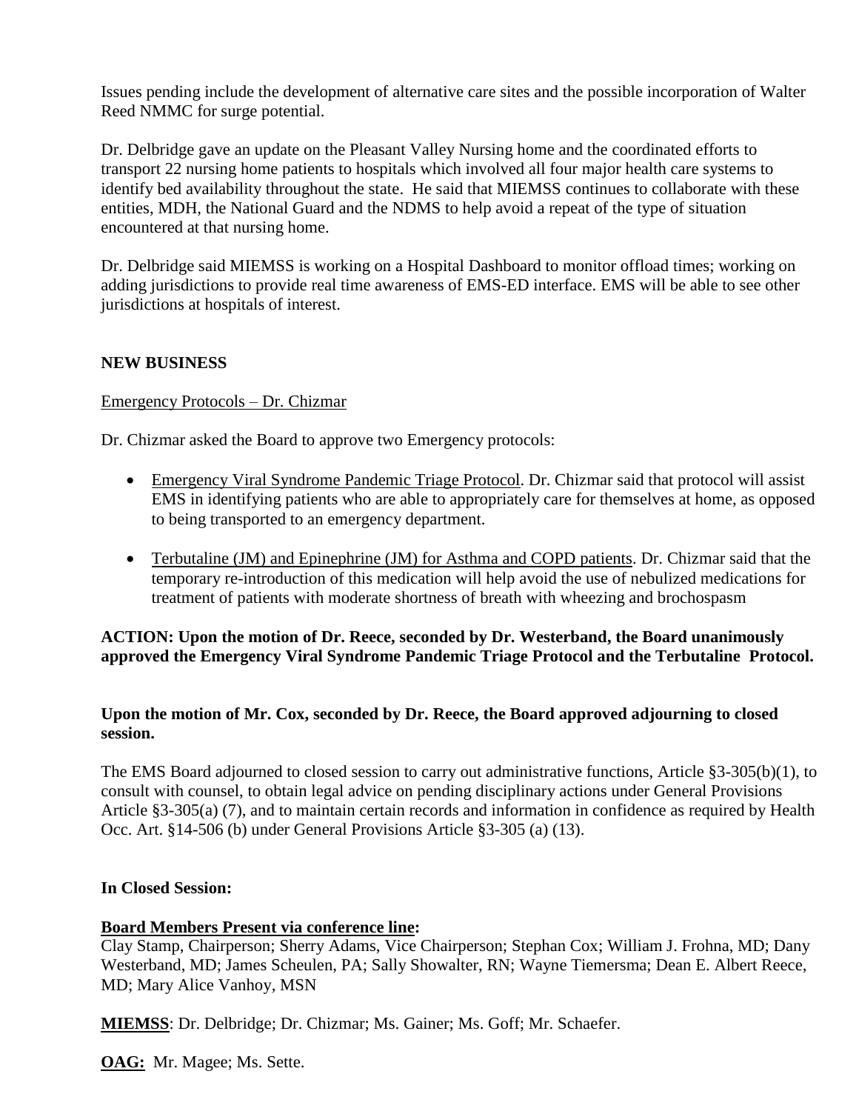Issues pending include the development of alternative care sites and the possible incorporation of Walter Reed NMMC for surge potential.

Dr. Delbridge gave an update on the Pleasant Valley Nursing home and the coordinated efforts to transport 22 nursing home patients to hospitals which involved all four major health care systems to identify bed availability throughout the state. He said that MIEMSS continues to collaborate with these entities, MDH, the National Guard and the NDMS to help avoid a repeat of the type of situation encountered at that nursing home.

Dr. Delbridge said MIEMSS is working on a Hospital Dashboard to monitor offload times; working on adding jurisdictions to provide real time awareness of EMS-ED interface. EMS will be able to see other jurisdictions at hospitals of interest.

### **NEW BUSINESS**

#### Emergency Protocols – Dr. Chizmar

Dr. Chizmar asked the Board to approve two Emergency protocols:

- Emergency Viral Syndrome Pandemic Triage Protocol. Dr. Chizmar said that protocol will assist EMS in identifying patients who are able to appropriately care for themselves at home, as opposed to being transported to an emergency department.
- Terbutaline (JM) and Epinephrine (JM) for Asthma and COPD patients. Dr. Chizmar said that the temporary re-introduction of this medication will help avoid the use of nebulized medications for treatment of patients with moderate shortness of breath with wheezing and brochospasm

## **ACTION: Upon the motion of Dr. Reece, seconded by Dr. Westerband, the Board unanimously approved the Emergency Viral Syndrome Pandemic Triage Protocol and the Terbutaline Protocol.**

## **Upon the motion of Mr. Cox, seconded by Dr. Reece, the Board approved adjourning to closed session.**

The EMS Board adjourned to closed session to carry out administrative functions, Article §3-305(b)(1), to consult with counsel, to obtain legal advice on pending disciplinary actions under General Provisions Article §3-305(a) (7), and to maintain certain records and information in confidence as required by Health Occ. Art. §14-506 (b) under General Provisions Article §3-305 (a) (13).

#### **In Closed Session:**

#### **Board Members Present via conference line:**

Clay Stamp, Chairperson; Sherry Adams, Vice Chairperson; Stephan Cox; William J. Frohna, MD; Dany Westerband, MD; James Scheulen, PA; Sally Showalter, RN; Wayne Tiemersma; Dean E. Albert Reece, MD; Mary Alice Vanhoy, MSN

**MIEMSS**: Dr. Delbridge; Dr. Chizmar; Ms. Gainer; Ms. Goff; Mr. Schaefer.

**OAG:** Mr. Magee; Ms. Sette.